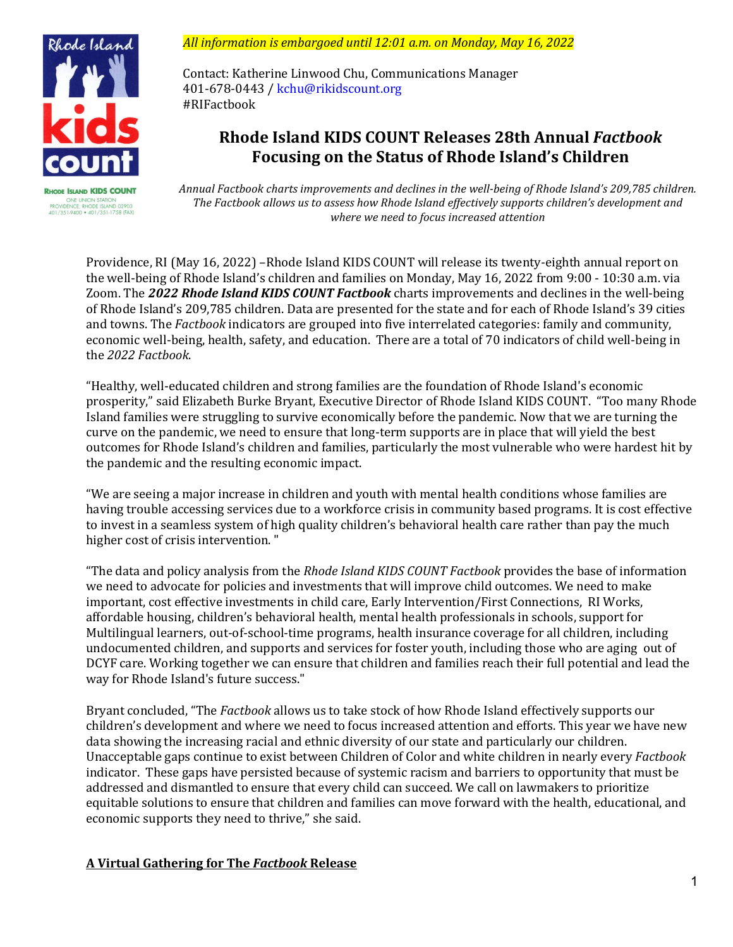

**RHODE ISLAND KIDS COUNT** 001 001 00101001 01471001<br>PROVIDENCE, RHODE ISLAND<br>401/351-9400 • 401/351-1758

*All information is embargoed until 12:01 a.m. on Monday, May 16, 2022* 

Contact: Katherine Linwood Chu, Communications Manager 401-678-0443 [/ kchu@rikidscount.org](mailto:kchu@rikidscount.org)  #RIFactbook

# **Rhode Island KIDS COUNT Releases 28th Annual** *Factbook* **Focusing on the Status of Rhode Island's Children**

*Annual Factbook charts improvements and declines in the well-being of Rhode Island's 209,785 children. The Factbook allows us to assess how Rhode Island effectively supports children's development and where we need to focus increased attention* 

Providence, RI (May 16, 2022) –Rhode Island KIDS COUNT will release its twenty-eighth annual report on the well-being of Rhode Island's children and families on Monday, May 16, 2022 from 9:00 - 10:30 a.m. via Zoom. The *2022 Rhode Island KIDS COUNT Factbook* charts improvements and declines in the well-being of Rhode Island's 209,785 children. Data are presented for the state and for each of Rhode Island's 39 cities and towns. The *Factbook* indicators are grouped into five interrelated categories: family and community, economic well-being, health, safety, and education. There are a total of 70 indicators of child well-being in the *2022 Factbook*.

"Healthy, well-educated children and strong families are the foundation of Rhode Island's economic prosperity," said Elizabeth Burke Bryant, Executive Director of Rhode Island KIDS COUNT. "Too many Rhode Island families were struggling to survive economically before the pandemic. Now that we are turning the curve on the pandemic, we need to ensure that long-term supports are in place that will yield the best outcomes for Rhode Island's children and families, particularly the most vulnerable who were hardest hit by the pandemic and the resulting economic impact.

"We are seeing a major increase in children and youth with mental health conditions whose families are having trouble accessing services due to a workforce crisis in community based programs. It is cost effective to invest in a seamless system of high quality children's behavioral health care rather than pay the much higher cost of crisis intervention. "

"The data and policy analysis from the *Rhode Island KIDS COUNT Factbook* provides the base of information we need to advocate for policies and investments that will improve child outcomes. We need to make important, cost effective investments in child care, Early Intervention/First Connections, RI Works, affordable housing, children's behavioral health, mental health professionals in schools, support for Multilingual learners, out-of-school-time programs, health insurance coverage for all children, including undocumented children, and supports and services for foster youth, including those who are aging out of DCYF care. Working together we can ensure that children and families reach their full potential and lead the way for Rhode Island's future success."

Bryant concluded, "The *Factbook* allows us to take stock of how Rhode Island effectively supports our children's development and where we need to focus increased attention and efforts. This year we have new data showing the increasing racial and ethnic diversity of our state and particularly our children. Unacceptable gaps continue to exist between Children of Color and white children in nearly every *Factbook* indicator. These gaps have persisted because of systemic racism and barriers to opportunity that must be addressed and dismantled to ensure that every child can succeed. We call on lawmakers to prioritize equitable solutions to ensure that children and families can move forward with the health, educational, and economic supports they need to thrive," she said.

# **A Virtual Gathering for The** *Factbook* **Release**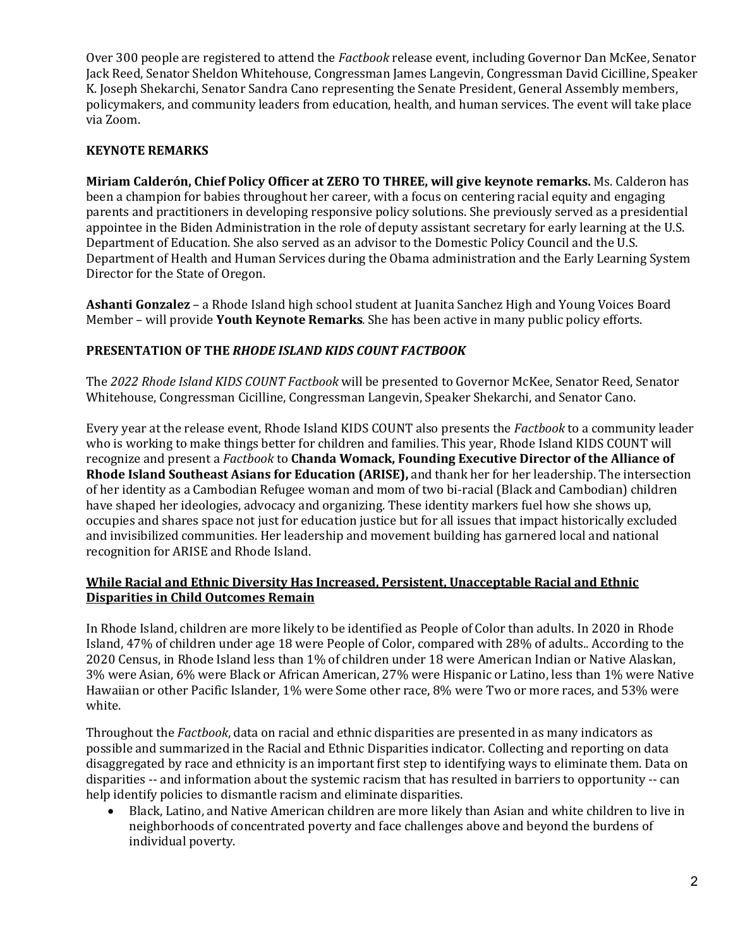Over 300 people are registered to attend the *Factbook* release event, including Governor Dan McKee, Senator Jack Reed, Senator Sheldon Whitehouse, Congressman James Langevin, Congressman David Cicilline, Speaker K. Joseph Shekarchi, Senator Sandra Cano representing the Senate President, General Assembly members, policymakers, and community leaders from education, health, and human services. The event will take place via Zoom.

#### **KEYNOTE REMARKS**

**Miriam Calderón, Chief Policy Officer at ZERO TO THREE, will give keynote remarks.** Ms. Calderon has been a champion for babies throughout her career, with a focus on centering racial equity and engaging parents and practitioners in developing responsive policy solutions. She previously served as a presidential appointee in the Biden Administration in the role of deputy assistant secretary for early learning at the U.S. Department of Education. She also served as an advisor to the Domestic Policy Council and the U.S. Department of Health and Human Services during the Obama administration and the Early Learning System Director for the State of Oregon.

**Ashanti Gonzalez** – a Rhode Island high school student at Juanita Sanchez High and Young Voices Board Member – will provide **Youth Keynote Remarks***.* She has been active in many public policy efforts.

### **PRESENTATION OF THE** *RHODE ISLAND KIDS COUNT FACTBOOK*

The *2022 Rhode Island KIDS COUNT Factbook* will be presented to Governor McKee, Senator Reed, Senator Whitehouse, Congressman Cicilline, Congressman Langevin, Speaker Shekarchi, and Senator Cano.

Every year at the release event, Rhode Island KIDS COUNT also presents the *Factbook* to a community leader who is working to make things better for children and families. This year, Rhode Island KIDS COUNT will recognize and present a *Factbook* to **Chanda Womack, Founding Executive Director of the Alliance of Rhode Island Southeast Asians for Education (ARISE),** and thank her for her leadership. The intersection of her identity as a Cambodian Refugee woman and mom of two bi-racial (Black and Cambodian) children have shaped her ideologies, advocacy and organizing. These identity markers fuel how she shows up, occupies and shares space not just for education justice but for all issues that impact historically excluded and invisibilized communities. Her leadership and movement building has garnered local and national recognition for ARISE and Rhode Island.

#### **While Racial and Ethnic Diversity Has Increased, Persistent, Unacceptable Racial and Ethnic Disparities in Child Outcomes Remain**

In Rhode Island, children are more likely to be identified as People of Color than adults. In 2020 in Rhode Island, 47% of children under age 18 were People of Color, compared with 28% of adults.. According to the 2020 Census, in Rhode Island less than 1% of children under 18 were American Indian or Native Alaskan, 3% were Asian, 6% were Black or African American, 27% were Hispanic or Latino, less than 1% were Native Hawaiian or other Pacific Islander, 1% were Some other race, 8% were Two or more races, and 53% were white.

Throughout the *Factbook*, data on racial and ethnic disparities are presented in as many indicators as possible and summarized in the Racial and Ethnic Disparities indicator. Collecting and reporting on data disaggregated by race and ethnicity is an important first step to identifying ways to eliminate them. Data on disparities -- and information about the systemic racism that has resulted in barriers to opportunity -- can help identify policies to dismantle racism and eliminate disparities.

• Black, Latino, and Native American children are more likely than Asian and white children to live in neighborhoods of concentrated poverty and face challenges above and beyond the burdens of individual poverty.